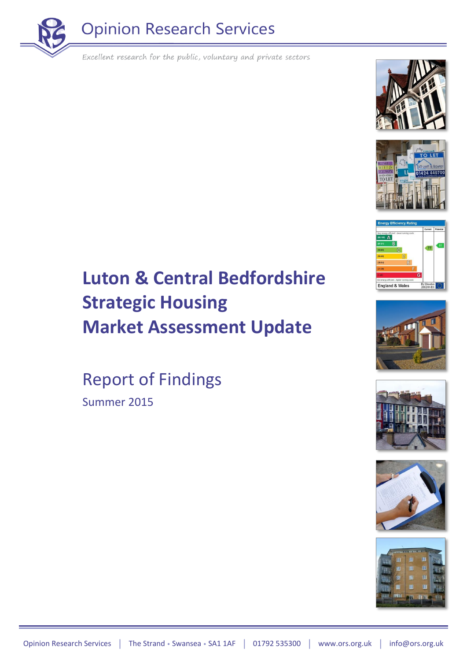















## **Luton & Central Bedfordshire Strategic Housing Market Assessment Update**

Report of Findings Summer 2015